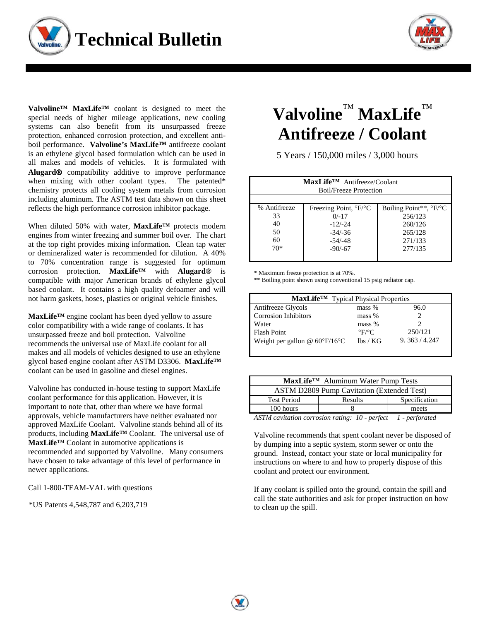



**Valvoline™ MaxLife™** coolant is designed to meet the special needs of higher mileage applications, new cooling systems can also benefit from its unsurpassed freeze protection, enhanced corrosion protection, and excellent antiboil performance. **Valvoline's MaxLife™** antifreeze coolant is an ethylene glycol based formulation which can be used in all makes and models of vehicles. It is formulated with **Alugard** compatibility additive to improve performance when mixing with other coolant types. The patented\* chemistry protects all cooling system metals from corrosion including aluminum. The ASTM test data shown on this sheet reflects the high performance corrosion inhibitor package.

When diluted 50% with water, **MaxLife™** protects modern engines from winter freezing and summer boil over. The chart at the top right provides mixing information. Clean tap water or demineralized water is recommended for dilution. A 40% to 70% concentration range is suggested for optimum corrosion protection. **MaxLife™** with **Alugard®** is compatible with major American brands of ethylene glycol based coolant. It contains a high quality defoamer and will not harm gaskets, hoses, plastics or original vehicle finishes.

**MaxLife™** engine coolant has been dyed yellow to assure color compatibility with a wide range of coolants. It has unsurpassed freeze and boil protection. Valvoline recommends the universal use of MaxLife coolant for all makes and all models of vehicles designed to use an ethylene glycol based engine coolant after ASTM D3306. **MaxLife™** coolant can be used in gasoline and diesel engines.

Valvoline has conducted in-house testing to support MaxLife coolant performance for this application. However, it is important to note that, other than where we have formal approvals, vehicle manufacturers have neither evaluated nor approved MaxLife Coolant. Valvoline stands behind all of its products, including **MaxLife™** Coolant. The universal use of **MaxLife**™ Coolant in automotive applications is recommended and supported by Valvoline. Many consumers have chosen to take advantage of this level of performance in newer applications.

Call 1-800-TEAM-VAL with questions

\*US Patents 4,548,787 and 6,203,719

## **Valvoline**™ **MaxLife**™ **Antifreeze / Coolant**

5 Years / 150,000 miles / 3,000 hours

| MaxLife <sup>TM</sup> Antifreeze/Coolant<br><b>Boil/Freeze Protection</b> |                                           |                                           |  |
|---------------------------------------------------------------------------|-------------------------------------------|-------------------------------------------|--|
|                                                                           |                                           |                                           |  |
| % Antifreeze                                                              | Freezing Point, $\mathrm{P}F/\mathrm{P}C$ | Boiling Point**, $\degree$ F/ $\degree$ C |  |
| 33                                                                        | $0/-17$                                   | 256/123                                   |  |
| 40                                                                        | $-12/-24$                                 | 260/126                                   |  |
| 50                                                                        | $-34/-36$                                 | 265/128                                   |  |
| 60                                                                        | $-54/ -48$                                | 271/133                                   |  |
| $70*$                                                                     | $-90/-67$                                 | 277/135                                   |  |
|                                                                           |                                           |                                           |  |

\* Maximum freeze protection is at 70%.

\*\* Boiling point shown using conventional 15 psig radiator cap.

| MaxLife <sup>TM</sup> Typical Physical Properties |                           |             |  |
|---------------------------------------------------|---------------------------|-------------|--|
| Antifreeze Glycols                                | $mass \%$                 | 96.0        |  |
| <b>Corrosion Inhibitors</b>                       | mass %                    |             |  |
| Water                                             | mass %                    |             |  |
| Flash Point                                       | $\mathrm{P}F/\mathrm{P}C$ | 250/121     |  |
| Weight per gallon @ $60^{\circ}F/16^{\circ}C$     | lbs/KG                    | 9.363/4.247 |  |
|                                                   |                           |             |  |

| MaxLife™ Aluminum Water Pump Tests                            |         |               |  |
|---------------------------------------------------------------|---------|---------------|--|
| <b>ASTM D2809 Pump Cavitation (Extended Test)</b>             |         |               |  |
| <b>Test Period</b>                                            | Results | Specification |  |
| 100 hours                                                     |         | meets         |  |
| ASTM cavitation corrosion rating: 10 - perfect 1 - perforated |         |               |  |

Valvoline recommends that spent coolant never be disposed of by dumping into a septic system, storm sewer or onto the ground. Instead, contact your state or local municipality for instructions on where to and how to properly dispose of this coolant and protect our environment.

If any coolant is spilled onto the ground, contain the spill and call the state authorities and ask for proper instruction on how to clean up the spill.